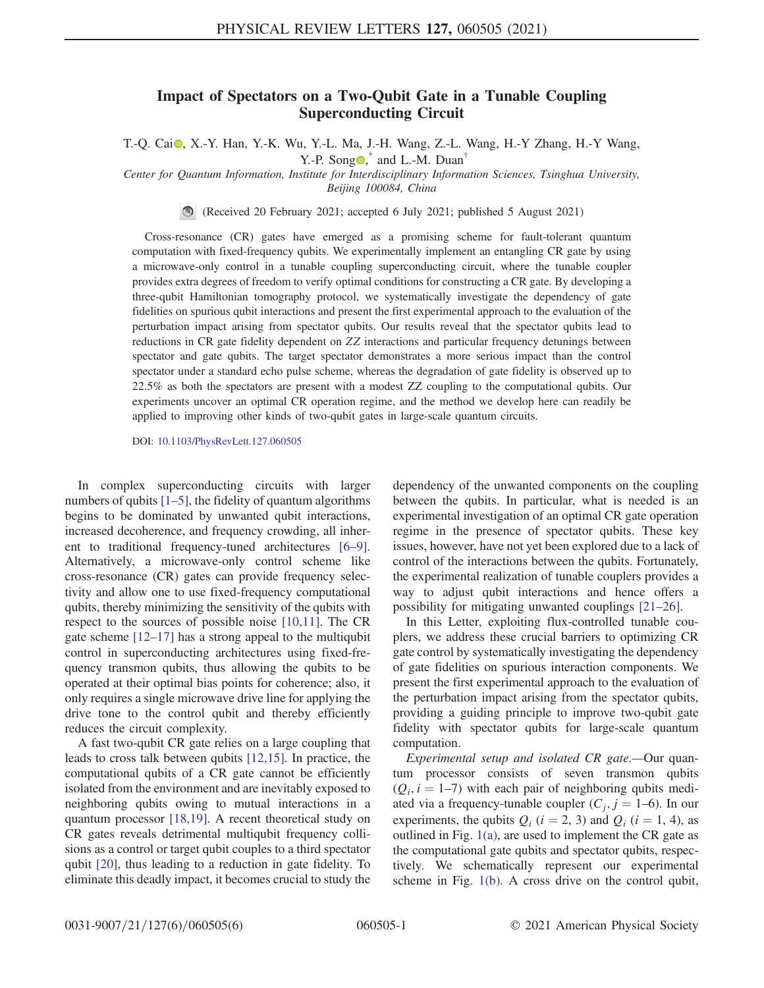## Impact of Spectators on a Two-Qubit Gate in a Tunable Coupling Superconducting Circuit

<span id="page-0-0"></span>T.-Q. Cai<sup>o</sup>, X.-Y. Han, Y.-K. Wu, Y.-L. Ma, J.-H. Wang, Z.-L. Wang, H.-Y Zhang, H.-Y Wang, Y.-P. Song  $\bullet$ , and L.-M. Duan<sup>[†](#page-4-1)</sup>

Center for Quantum Information, Institute for Interdisciplinary Information Sciences, Tsinghua University, Beijing 100084, China

(Received 20 February 2021; accepted 6 July 2021; published 5 August 2021)

Cross-resonance (CR) gates have emerged as a promising scheme for fault-tolerant quantum computation with fixed-frequency qubits. We experimentally implement an entangling CR gate by using a microwave-only control in a tunable coupling superconducting circuit, where the tunable coupler provides extra degrees of freedom to verify optimal conditions for constructing a CR gate. By developing a three-qubit Hamiltonian tomography protocol, we systematically investigate the dependency of gate fidelities on spurious qubit interactions and present the first experimental approach to the evaluation of the perturbation impact arising from spectator qubits. Our results reveal that the spectator qubits lead to reductions in CR gate fidelity dependent on ZZ interactions and particular frequency detunings between spectator and gate qubits. The target spectator demonstrates a more serious impact than the control spectator under a standard echo pulse scheme, whereas the degradation of gate fidelity is observed up to 22.5% as both the spectators are present with a modest ZZ coupling to the computational qubits. Our experiments uncover an optimal CR operation regime, and the method we develop here can readily be applied to improving other kinds of two-qubit gates in large-scale quantum circuits.

DOI: [10.1103/PhysRevLett.127.060505](https://doi.org/10.1103/PhysRevLett.127.060505)

In complex superconducting circuits with larger numbers of qubits  $[1–5]$  $[1–5]$ , the fidelity of quantum algorithms begins to be dominated by unwanted qubit interactions, increased decoherence, and frequency crowding, all inherent to traditional frequency-tuned architectures [\[6](#page-4-3)–9]. Alternatively, a microwave-only control scheme like cross-resonance (CR) gates can provide frequency selectivity and allow one to use fixed-frequency computational qubits, thereby minimizing the sensitivity of the qubits with respect to the sources of possible noise [\[10,11\]](#page-4-4). The CR gate scheme [12–[17\]](#page-4-5) has a strong appeal to the multiqubit control in superconducting architectures using fixed-frequency transmon qubits, thus allowing the qubits to be operated at their optimal bias points for coherence; also, it only requires a single microwave drive line for applying the drive tone to the control qubit and thereby efficiently reduces the circuit complexity.

A fast two-qubit CR gate relies on a large coupling that leads to cross talk between qubits [\[12,15\]](#page-4-5). In practice, the computational qubits of a CR gate cannot be efficiently isolated from the environment and are inevitably exposed to neighboring qubits owing to mutual interactions in a quantum processor [\[18,19\]](#page-5-0). A recent theoretical study on CR gates reveals detrimental multiqubit frequency collisions as a control or target qubit couples to a third spectator qubit [\[20\]](#page-5-1), thus leading to a reduction in gate fidelity. To eliminate this deadly impact, it becomes crucial to study the dependency of the unwanted components on the coupling between the qubits. In particular, what is needed is an experimental investigation of an optimal CR gate operation regime in the presence of spectator qubits. These key issues, however, have not yet been explored due to a lack of control of the interactions between the qubits. Fortunately, the experimental realization of tunable couplers provides a way to adjust qubit interactions and hence offers a possibility for mitigating unwanted couplings [\[21](#page-5-2)–26].

In this Letter, exploiting flux-controlled tunable couplers, we address these crucial barriers to optimizing CR gate control by systematically investigating the dependency of gate fidelities on spurious interaction components. We present the first experimental approach to the evaluation of the perturbation impact arising from the spectator qubits, providing a guiding principle to improve two-qubit gate fidelity with spectator qubits for large-scale quantum computation.

Experimental setup and isolated CR gate.—Our quantum processor consists of seven transmon qubits  $(Q_i, i = 1-7)$  with each pair of neighboring qubits mediated via a frequency-tunable coupler  $(C_i, j = 1-6)$ . In our experiments, the qubits  $Q_i$  ( $i = 2, 3$ ) and  $Q_i$  ( $i = 1, 4$ ), as outlined in Fig. [1\(a\),](#page-1-0) are used to implement the CR gate as the computational gate qubits and spectator qubits, respectively. We schematically represent our experimental scheme in Fig. [1\(b\).](#page-1-0) A cross drive on the control qubit,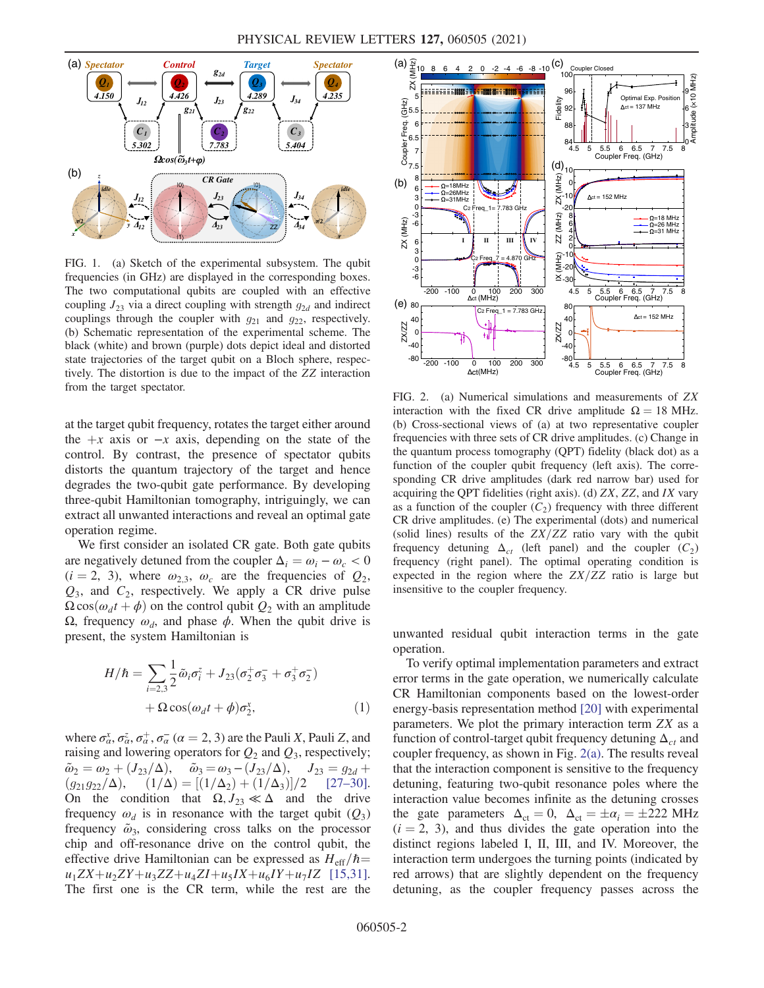<span id="page-1-0"></span>

FIG. 1. (a) Sketch of the experimental subsystem. The qubit frequencies (in GHz) are displayed in the corresponding boxes. The two computational qubits are coupled with an effective coupling  $J_{23}$  via a direct coupling with strength  $g_{2d}$  and indirect couplings through the coupler with  $g_{21}$  and  $g_{22}$ , respectively. (b) Schematic representation of the experimental scheme. The black (white) and brown (purple) dots depict ideal and distorted state trajectories of the target qubit on a Bloch sphere, respectively. The distortion is due to the impact of the ZZ interaction from the target spectator.

at the target qubit frequency, rotates the target either around the  $+x$  axis or  $-x$  axis, depending on the state of the control. By contrast, the presence of spectator qubits distorts the quantum trajectory of the target and hence degrades the two-qubit gate performance. By developing three-qubit Hamiltonian tomography, intriguingly, we can extract all unwanted interactions and reveal an optimal gate operation regime.

We first consider an isolated CR gate. Both gate qubits are negatively detuned from the coupler  $\Delta_i = \omega_i - \omega_c < 0$  $(i = 2, 3)$ , where  $\omega_{2,3}$ ,  $\omega_c$  are the frequencies of  $Q_2$ ,  $Q_3$ , and  $C_2$ , respectively. We apply a CR drive pulse  $\Omega \cos(\omega_d t + \phi)$  on the control qubit  $Q_2$  with an amplitude Ω, frequency  $ω_d$ , and phase  $φ$ . When the qubit drive is present, the system Hamiltonian is

$$
H/\hbar = \sum_{i=2,3} \frac{1}{2} \tilde{\omega}_i \sigma_i^z + J_{23} (\sigma_2^+ \sigma_3^- + \sigma_3^+ \sigma_2^-) + \Omega \cos(\omega_d t + \phi) \sigma_2^x,
$$
 (1)

where  $\sigma_{\alpha}^{x}$ ,  $\sigma_{\alpha}^{z}$ ,  $\sigma_{\alpha}^{+}$ ,  $\sigma_{\alpha}^{-}$  ( $\alpha = 2, 3$ ) are the Pauli X, Pauli Z, and<br>raising and lowering operators for  $\Omega_2$  and  $\Omega_2$  respectively: raising and lowering operators for  $Q_2$  and  $Q_3$ , respectively;  $\tilde{\omega}_2 = \omega_2 + (J_{23}/\Delta), \quad \tilde{\omega}_3 = \omega_3 - (J_{23}/\Delta), \quad J_{23} = g_{2d} +$  $(g_{21}g_{22}/\Delta),$   $(1/\Delta) = [(1/\Delta_2) + (1/\Delta_3)]/2$  [\[27](#page-5-3)–30].<br>On the condition that  $\Omega$  *I*<sub>22</sub>  $\ll \Delta$  and the drive On the condition that  $\Omega, J_{23} \ll \Delta$  and the drive frequency  $\omega_d$  is in resonance with the target qubit  $(Q_3)$ frequency  $\tilde{\omega}_3$ , considering cross talks on the processor chip and off-resonance drive on the control qubit, the effective drive Hamiltonian can be expressed as  $H_{\text{eff}}/\hbar=$  $u_1ZX+u_2ZY+u_3ZZ+u_4ZI+u_5IX+u_6IY+u_7IZ$  [\[15,31\]](#page-5-4). The first one is the CR term, while the rest are the

<span id="page-1-1"></span>

FIG. 2. (a) Numerical simulations and measurements of ZX interaction with the fixed CR drive amplitude  $\Omega = 18$  MHz. (b) Cross-sectional views of (a) at two representative coupler frequencies with three sets of CR drive amplitudes. (c) Change in the quantum process tomography (QPT) fidelity (black dot) as a function of the coupler qubit frequency (left axis). The corresponding CR drive amplitudes (dark red narrow bar) used for acquiring the QPT fidelities (right axis). (d) ZX, ZZ, and IX vary as a function of the coupler  $(C_2)$  frequency with three different CR drive amplitudes. (e) The experimental (dots) and numerical (solid lines) results of the  $ZX/ZZ$  ratio vary with the qubit frequency detuning  $\Delta_{ct}$  (left panel) and the coupler  $(C_2)$ frequency (right panel). The optimal operating condition is expected in the region where the  $ZX/ZZ$  ratio is large but insensitive to the coupler frequency.

unwanted residual qubit interaction terms in the gate operation.

To verify optimal implementation parameters and extract error terms in the gate operation, we numerically calculate CR Hamiltonian components based on the lowest-order energy-basis representation method [\[20\]](#page-5-1) with experimental parameters. We plot the primary interaction term ZX as a function of control-target qubit frequency detuning  $\Delta_{ct}$  and coupler frequency, as shown in Fig. [2\(a\).](#page-1-1) The results reveal that the interaction component is sensitive to the frequency detuning, featuring two-qubit resonance poles where the interaction value becomes infinite as the detuning crosses the gate parameters  $\Delta_{ct} = 0$ ,  $\Delta_{ct} = \pm \alpha_i = \pm 222$  MHz  $(i = 2, 3)$ , and thus divides the gate operation into the distinct regions labeled I, II, III, and IV. Moreover, the interaction term undergoes the turning points (indicated by red arrows) that are slightly dependent on the frequency detuning, as the coupler frequency passes across the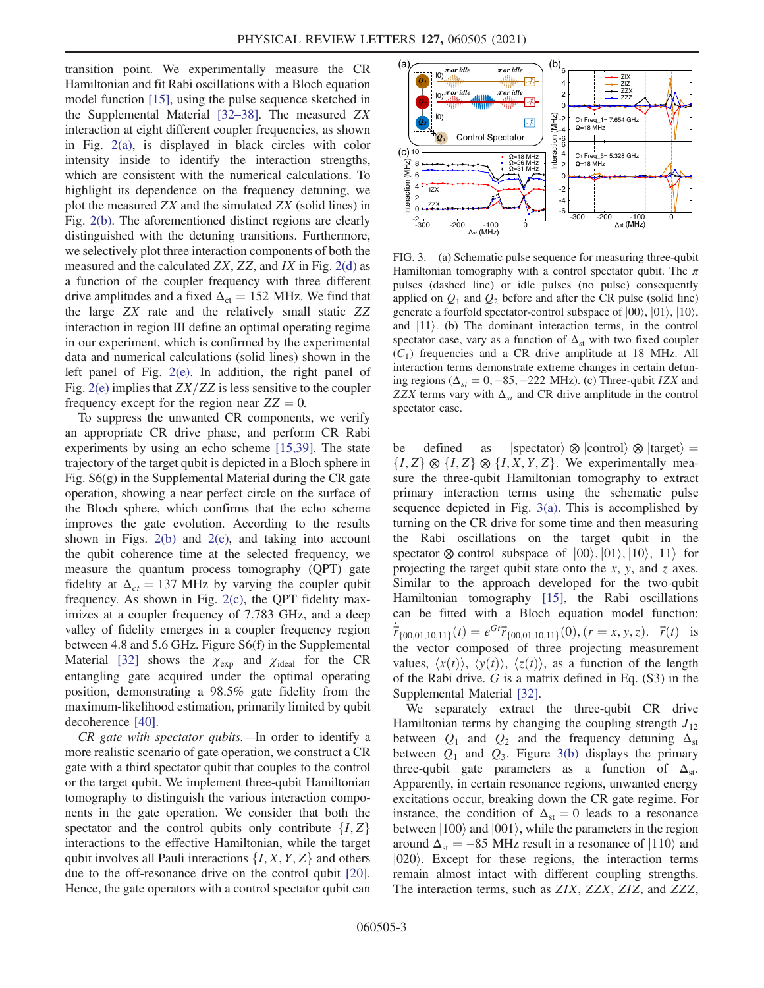transition point. We experimentally measure the CR Hamiltonian and fit Rabi oscillations with a Bloch equation model function [\[15\]](#page-5-4), using the pulse sequence sketched in the Supplemental Material [\[32](#page-5-5)–38]. The measured ZX interaction at eight different coupler frequencies, as shown in Fig. [2\(a\),](#page-1-1) is displayed in black circles with color intensity inside to identify the interaction strengths, which are consistent with the numerical calculations. To highlight its dependence on the frequency detuning, we plot the measured ZX and the simulated ZX (solid lines) in Fig. [2\(b\)](#page-1-1). The aforementioned distinct regions are clearly distinguished with the detuning transitions. Furthermore, we selectively plot three interaction components of both the measured and the calculated  $ZX, ZZ, and IX$  in Fig.  $2(d)$  as a function of the coupler frequency with three different drive amplitudes and a fixed  $\Delta_{ct} = 152$  MHz. We find that the large ZX rate and the relatively small static ZZ interaction in region III define an optimal operating regime in our experiment, which is confirmed by the experimental data and numerical calculations (solid lines) shown in the left panel of Fig. [2\(e\)](#page-1-1). In addition, the right panel of Fig.  $2(e)$  implies that  $ZX/ZZ$  is less sensitive to the coupler frequency except for the region near  $ZZ = 0$ .

To suppress the unwanted CR components, we verify an appropriate CR drive phase, and perform CR Rabi experiments by using an echo scheme [\[15,39\]](#page-5-4). The state trajectory of the target qubit is depicted in a Bloch sphere in Fig. S6(g) in the Supplemental Material during the CR gate operation, showing a near perfect circle on the surface of the Bloch sphere, which confirms that the echo scheme improves the gate evolution. According to the results shown in Figs.  $2(b)$  and  $2(e)$ , and taking into account the qubit coherence time at the selected frequency, we measure the quantum process tomography (QPT) gate fidelity at  $\Delta_{ct} = 137$  MHz by varying the coupler qubit frequency. As shown in Fig. [2\(c\)](#page-1-1), the QPT fidelity maximizes at a coupler frequency of 7.783 GHz, and a deep valley of fidelity emerges in a coupler frequency region between 4.8 and 5.6 GHz. Figure S6(f) in the Supplemental Material [\[32\]](#page-5-5) shows the  $\chi_{\rm exp}$  and  $\chi_{\rm ideal}$  for the CR entangling gate acquired under the optimal operating position, demonstrating a 98.5% gate fidelity from the maximum-likelihood estimation, primarily limited by qubit decoherence [\[40\].](#page-5-6)

CR gate with spectator qubits.—In order to identify a more realistic scenario of gate operation, we construct a CR gate with a third spectator qubit that couples to the control or the target qubit. We implement three-qubit Hamiltonian tomography to distinguish the various interaction components in the gate operation. We consider that both the spectator and the control qubits only contribute  $\{I, Z\}$ interactions to the effective Hamiltonian, while the target qubit involves all Pauli interactions  $\{I, X, Y, Z\}$  and others due to the off-resonance drive on the control qubit [\[20\]](#page-5-1). Hence, the gate operators with a control spectator qubit can

<span id="page-2-0"></span>

FIG. 3. (a) Schematic pulse sequence for measuring three-qubit Hamiltonian tomography with a control spectator qubit. The  $\pi$ pulses (dashed line) or idle pulses (no pulse) consequently applied on  $Q_1$  and  $Q_2$  before and after the CR pulse (solid line) generate a fourfold spectator-control subspace of  $|00\rangle$ ,  $|01\rangle$ ,  $|10\rangle$ , and  $|11\rangle$ . (b) The dominant interaction terms, in the control spectator case, vary as a function of  $\Delta_{st}$  with two fixed coupler  $(C_1)$  frequencies and a CR drive amplitude at 18 MHz. All interaction terms demonstrate extreme changes in certain detuning regions ( $\Delta_{st} = 0, -85, -222$  MHz). (c) Three-qubit IZX and ZZX terms vary with  $\Delta_{st}$  and CR drive amplitude in the control spectator case.

be defined as  $|$ spectator $\rangle \otimes |$ control $\rangle \otimes |$ target $\rangle = \{I, Z\} \otimes \{I, Z\} \otimes \{I, X, Y, Z\}$ . We experimentally mea- $\{I, Z\} \otimes \{I, Z\} \otimes \{I, X, Y, Z\}$ . We experimentally mea-<br>sure the three-qubit Hamiltonian tomography to extract sure the three-qubit Hamiltonian tomography to extract primary interaction terms using the schematic pulse sequence depicted in Fig. [3\(a\).](#page-2-0) This is accomplished by turning on the CR drive for some time and then measuring the Rabi oscillations on the target qubit in the spectator  $\otimes$  control subspace of  $|00\rangle, |01\rangle, |10\rangle, |11\rangle$  for projecting the target qubit state onto the  $x$ ,  $y$ , and  $z$  axes. Similar to the approach developed for the two-qubit Hamiltonian tomography [\[15\],](#page-5-4) the Rabi oscillations can be fitted with a Bloch equation model function:  $\dot{\vec{r}}_{\{00,01,10,11\}}(t) = e^{Gt} \vec{r}_{\{00,01,10,11\}}(0)$ ,  $(r = x, y, z)$ .  $\vec{r}(t)$  is the vector composed of three projecting measurement values,  $\langle x(t) \rangle$ ,  $\langle y(t) \rangle$ ,  $\langle z(t) \rangle$ , as a function of the length of the Rabi drive.  $G$  is a matrix defined in Eq.  $(S3)$  in the Supplemental Material [\[32\].](#page-5-5)

We separately extract the three-qubit CR drive Hamiltonian terms by changing the coupling strength  $J_{12}$ between  $Q_1$  and  $Q_2$  and the frequency detuning  $\Delta_{st}$ between  $Q_1$  and  $Q_3$ . Figure [3\(b\)](#page-2-0) displays the primary three-qubit gate parameters as a function of  $\Delta_{st}$ . Apparently, in certain resonance regions, unwanted energy excitations occur, breaking down the CR gate regime. For instance, the condition of  $\Delta_{st} = 0$  leads to a resonance between  $|100\rangle$  and  $|001\rangle$ , while the parameters in the region around  $\Delta_{st} = -85$  MHz result in a resonance of  $|110\rangle$  and  $|020\rangle$ . Except for these regions, the interaction terms remain almost intact with different coupling strengths. The interaction terms, such as *ZIX*, *ZZX*, *ZIZ*, and *ZZZ*,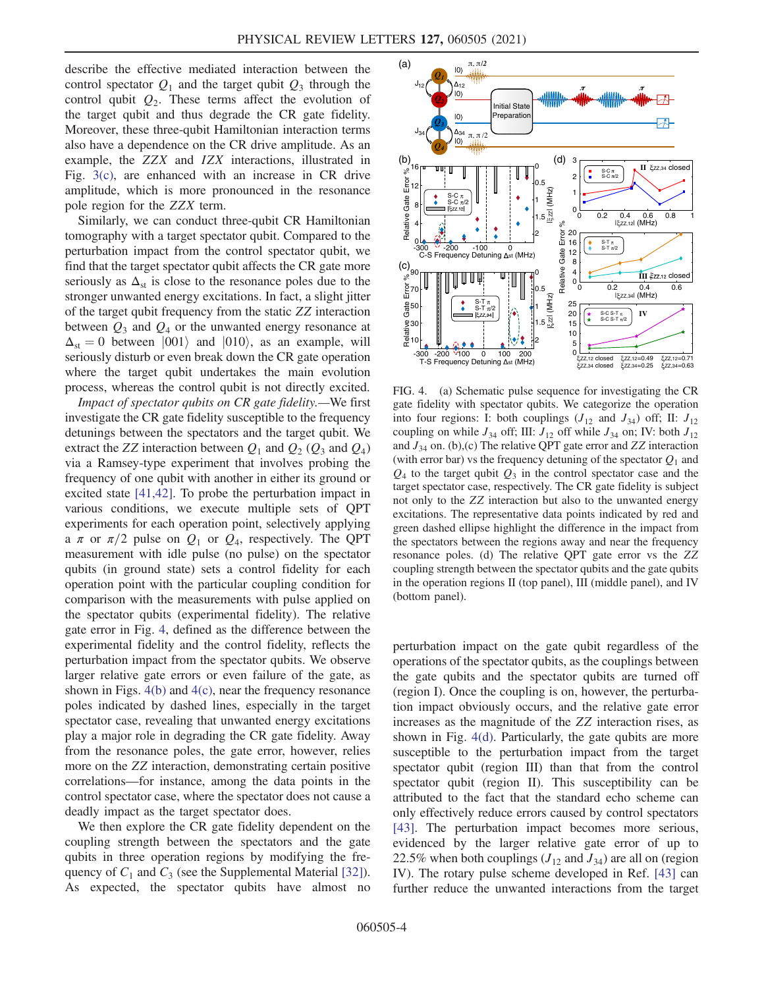describe the effective mediated interaction between the control spectator  $Q_1$  and the target qubit  $Q_3$  through the control qubit  $Q_2$ . These terms affect the evolution of the target qubit and thus degrade the CR gate fidelity. Moreover, these three-qubit Hamiltonian interaction terms also have a dependence on the CR drive amplitude. As an example, the ZZX and IZX interactions, illustrated in Fig. [3\(c\),](#page-2-0) are enhanced with an increase in CR drive amplitude, which is more pronounced in the resonance pole region for the ZZX term.

Similarly, we can conduct three-qubit CR Hamiltonian tomography with a target spectator qubit. Compared to the perturbation impact from the control spectator qubit, we find that the target spectator qubit affects the CR gate more seriously as  $\Delta_{st}$  is close to the resonance poles due to the stronger unwanted energy excitations. In fact, a slight jitter of the target qubit frequency from the static ZZ interaction between  $Q_3$  and  $Q_4$  or the unwanted energy resonance at  $\Delta_{st} = 0$  between  $|001\rangle$  and  $|010\rangle$ , as an example, will seriously disturb or even break down the CR gate operation where the target qubit undertakes the main evolution process, whereas the control qubit is not directly excited.

Impact of spectator qubits on CR gate fidelity.—We first investigate the CR gate fidelity susceptible to the frequency detunings between the spectators and the target qubit. We extract the ZZ interaction between  $Q_1$  and  $Q_2$  ( $Q_3$  and  $Q_4$ ) via a Ramsey-type experiment that involves probing the frequency of one qubit with another in either its ground or excited state [\[41,42\]](#page-5-7). To probe the perturbation impact in various conditions, we execute multiple sets of QPT experiments for each operation point, selectively applying a  $\pi$  or  $\pi/2$  pulse on  $Q_1$  or  $Q_4$ , respectively. The QPT measurement with idle pulse (no pulse) on the spectator qubits (in ground state) sets a control fidelity for each operation point with the particular coupling condition for comparison with the measurements with pulse applied on the spectator qubits (experimental fidelity). The relative gate error in Fig. [4,](#page-3-0) defined as the difference between the experimental fidelity and the control fidelity, reflects the perturbation impact from the spectator qubits. We observe larger relative gate errors or even failure of the gate, as shown in Figs. [4\(b\)](#page-3-0) and [4\(c\)](#page-3-0), near the frequency resonance poles indicated by dashed lines, especially in the target spectator case, revealing that unwanted energy excitations play a major role in degrading the CR gate fidelity. Away from the resonance poles, the gate error, however, relies more on the ZZ interaction, demonstrating certain positive correlations—for instance, among the data points in the control spectator case, where the spectator does not cause a deadly impact as the target spectator does.

We then explore the CR gate fidelity dependent on the coupling strength between the spectators and the gate qubits in three operation regions by modifying the frequency of  $C_1$  and  $C_3$  (see the Supplemental Material [\[32\]](#page-5-5)). As expected, the spectator qubits have almost no

<span id="page-3-0"></span>

FIG. 4. (a) Schematic pulse sequence for investigating the CR gate fidelity with spectator qubits. We categorize the operation into four regions: I: both couplings  $(J_{12}$  and  $J_{34})$  off; II:  $J_{12}$ coupling on while  $J_{34}$  off; III:  $J_{12}$  off while  $J_{34}$  on; IV: both  $J_{12}$ and  $J_{34}$  on. (b),(c) The relative QPT gate error and ZZ interaction (with error bar) vs the frequency detuning of the spectator  $Q_1$  and  $Q_4$  to the target qubit  $Q_3$  in the control spectator case and the target spectator case, respectively. The CR gate fidelity is subject not only to the ZZ interaction but also to the unwanted energy excitations. The representative data points indicated by red and green dashed ellipse highlight the difference in the impact from the spectators between the regions away and near the frequency resonance poles. (d) The relative QPT gate error vs the ZZ coupling strength between the spectator qubits and the gate qubits in the operation regions II (top panel), III (middle panel), and IV (bottom panel).

perturbation impact on the gate qubit regardless of the operations of the spectator qubits, as the couplings between the gate qubits and the spectator qubits are turned off (region I). Once the coupling is on, however, the perturbation impact obviously occurs, and the relative gate error increases as the magnitude of the ZZ interaction rises, as shown in Fig. [4\(d\)](#page-3-0). Particularly, the gate qubits are more susceptible to the perturbation impact from the target spectator qubit (region III) than that from the control spectator qubit (region II). This susceptibility can be attributed to the fact that the standard echo scheme can only effectively reduce errors caused by control spectators [\[43\]](#page-5-8). The perturbation impact becomes more serious, evidenced by the larger relative gate error of up to 22.5% when both couplings  $(J_{12}$  and  $J_{34})$  are all on (region IV). The rotary pulse scheme developed in Ref. [\[43\]](#page-5-8) can further reduce the unwanted interactions from the target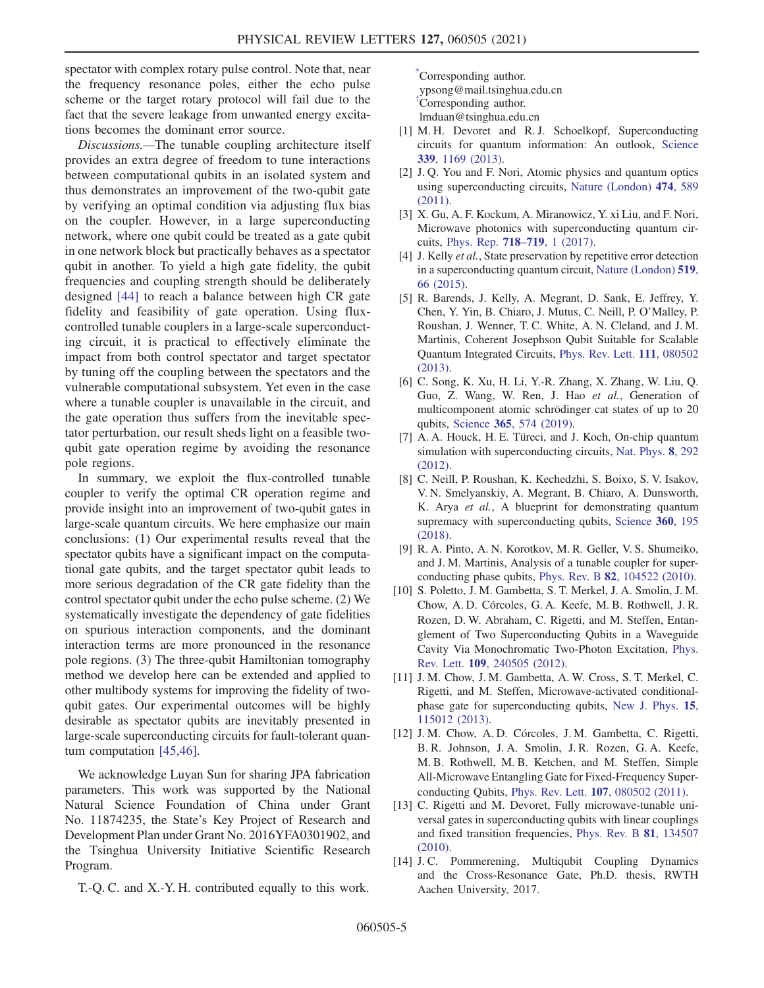spectator with complex rotary pulse control. Note that, near the frequency resonance poles, either the echo pulse scheme or the target rotary protocol will fail due to the fact that the severe leakage from unwanted energy excitations becomes the dominant error source.

Discussions.—The tunable coupling architecture itself provides an extra degree of freedom to tune interactions between computational qubits in an isolated system and thus demonstrates an improvement of the two-qubit gate by verifying an optimal condition via adjusting flux bias on the coupler. However, in a large superconducting network, where one qubit could be treated as a gate qubit in one network block but practically behaves as a spectator qubit in another. To yield a high gate fidelity, the qubit frequencies and coupling strength should be deliberately designed [\[44\]](#page-5-9) to reach a balance between high CR gate fidelity and feasibility of gate operation. Using fluxcontrolled tunable couplers in a large-scale superconducting circuit, it is practical to effectively eliminate the impact from both control spectator and target spectator by tuning off the coupling between the spectators and the vulnerable computational subsystem. Yet even in the case where a tunable coupler is unavailable in the circuit, and the gate operation thus suffers from the inevitable spectator perturbation, our result sheds light on a feasible twoqubit gate operation regime by avoiding the resonance pole regions.

In summary, we exploit the flux-controlled tunable coupler to verify the optimal CR operation regime and provide insight into an improvement of two-qubit gates in large-scale quantum circuits. We here emphasize our main conclusions: (1) Our experimental results reveal that the spectator qubits have a significant impact on the computational gate qubits, and the target spectator qubit leads to more serious degradation of the CR gate fidelity than the control spectator qubit under the echo pulse scheme. (2) We systematically investigate the dependency of gate fidelities on spurious interaction components, and the dominant interaction terms are more pronounced in the resonance pole regions. (3) The three-qubit Hamiltonian tomography method we develop here can be extended and applied to other multibody systems for improving the fidelity of twoqubit gates. Our experimental outcomes will be highly desirable as spectator qubits are inevitably presented in large-scale superconducting circuits for fault-tolerant quantum computation [\[45,46\].](#page-5-10)

We acknowledge Luyan Sun for sharing JPA fabrication parameters. This work was supported by the National Natural Science Foundation of China under Grant No. 11874235, the State's Key Project of Research and Development Plan under Grant No. 2016YFA0301902, and the Tsinghua University Initiative Scientific Research Program.

T.-Q. C. and X.-Y. H. contributed equally to this work.

<span id="page-4-1"></span><span id="page-4-0"></span>[\\*](#page-0-0) Corresponding author. ypsong@mail.tsinghua.edu.cn [†](#page-0-0) Corresponding author. lmduan@tsinghua.edu.cn

- <span id="page-4-2"></span>[1] M. H. Devoret and R. J. Schoelkopf, Superconducting circuits for quantum information: An outlook, [Science](https://doi.org/10.1126/science.1231930) 339[, 1169 \(2013\)](https://doi.org/10.1126/science.1231930).
- [2] J. Q. You and F. Nori, Atomic physics and quantum optics using superconducting circuits, [Nature \(London\)](https://doi.org/10.1038/nature10122) 474, 589 [\(2011\).](https://doi.org/10.1038/nature10122)
- [3] X. Gu, A. F. Kockum, A. Miranowicz, Y. xi Liu, and F. Nori, Microwave photonics with superconducting quantum circuits, [Phys. Rep.](https://doi.org/10.1016/j.physrep.2017.10.002) 718–719, 1 (2017).
- [4] J. Kelly *et al.*, State preservation by repetitive error detection in a superconducting quantum circuit, [Nature \(London\)](https://doi.org/10.1038/nature14270) 519, [66 \(2015\).](https://doi.org/10.1038/nature14270)
- [5] R. Barends, J. Kelly, A. Megrant, D. Sank, E. Jeffrey, Y. Chen, Y. Yin, B. Chiaro, J. Mutus, C. Neill, P. O'Malley, P. Roushan, J. Wenner, T. C. White, A. N. Cleland, and J. M. Martinis, Coherent Josephson Qubit Suitable for Scalable Quantum Integrated Circuits, [Phys. Rev. Lett.](https://doi.org/10.1103/PhysRevLett.111.080502) 111, 080502 [\(2013\).](https://doi.org/10.1103/PhysRevLett.111.080502)
- <span id="page-4-3"></span>[6] C. Song, K. Xu, H. Li, Y.-R. Zhang, X. Zhang, W. Liu, Q. Guo, Z. Wang, W. Ren, J. Hao et al., Generation of multicomponent atomic schrödinger cat states of up to 20 qubits, Science 365[, 574 \(2019\).](https://doi.org/10.1126/science.aay0600)
- [7] A. A. Houck, H. E. Türeci, and J. Koch, On-chip quantum simulation with superconducting circuits, [Nat. Phys.](https://doi.org/10.1038/nphys2251) 8, 292 [\(2012\).](https://doi.org/10.1038/nphys2251)
- [8] C. Neill, P. Roushan, K. Kechedzhi, S. Boixo, S. V. Isakov, V. N. Smelyanskiy, A. Megrant, B. Chiaro, A. Dunsworth, K. Arya et al., A blueprint for demonstrating quantum supremacy with superconducting qubits, [Science](https://doi.org/10.1126/science.aao4309) 360, 195 [\(2018\).](https://doi.org/10.1126/science.aao4309)
- [9] R. A. Pinto, A. N. Korotkov, M. R. Geller, V. S. Shumeiko, and J. M. Martinis, Analysis of a tunable coupler for superconducting phase qubits, Phys. Rev. B 82[, 104522 \(2010\)](https://doi.org/10.1103/PhysRevB.82.104522).
- <span id="page-4-4"></span>[10] S. Poletto, J. M. Gambetta, S. T. Merkel, J. A. Smolin, J. M. Chow, A. D. Córcoles, G. A. Keefe, M. B. Rothwell, J. R. Rozen, D. W. Abraham, C. Rigetti, and M. Steffen, Entanglement of Two Superconducting Qubits in a Waveguide Cavity Via Monochromatic Two-Photon Excitation, [Phys.](https://doi.org/10.1103/PhysRevLett.109.240505) Rev. Lett. 109[, 240505 \(2012\).](https://doi.org/10.1103/PhysRevLett.109.240505)
- [11] J. M. Chow, J. M. Gambetta, A. W. Cross, S. T. Merkel, C. Rigetti, and M. Steffen, Microwave-activated conditionalphase gate for superconducting qubits, [New J. Phys.](https://doi.org/10.1088/1367-2630/15/11/115012) 15, [115012 \(2013\).](https://doi.org/10.1088/1367-2630/15/11/115012)
- <span id="page-4-5"></span>[12] J. M. Chow, A. D. Córcoles, J. M. Gambetta, C. Rigetti, B. R. Johnson, J. A. Smolin, J. R. Rozen, G. A. Keefe, M. B. Rothwell, M. B. Ketchen, and M. Steffen, Simple All-Microwave Entangling Gate for Fixed-Frequency Superconducting Qubits, Phys. Rev. Lett. 107[, 080502 \(2011\).](https://doi.org/10.1103/PhysRevLett.107.080502)
- [13] C. Rigetti and M. Devoret, Fully microwave-tunable universal gates in superconducting qubits with linear couplings and fixed transition frequencies, [Phys. Rev. B](https://doi.org/10.1103/PhysRevB.81.134507) 81, 134507 [\(2010\).](https://doi.org/10.1103/PhysRevB.81.134507)
- [14] J. C. Pommerening, Multiqubit Coupling Dynamics and the Cross-Resonance Gate, Ph.D. thesis, RWTH Aachen University, 2017.